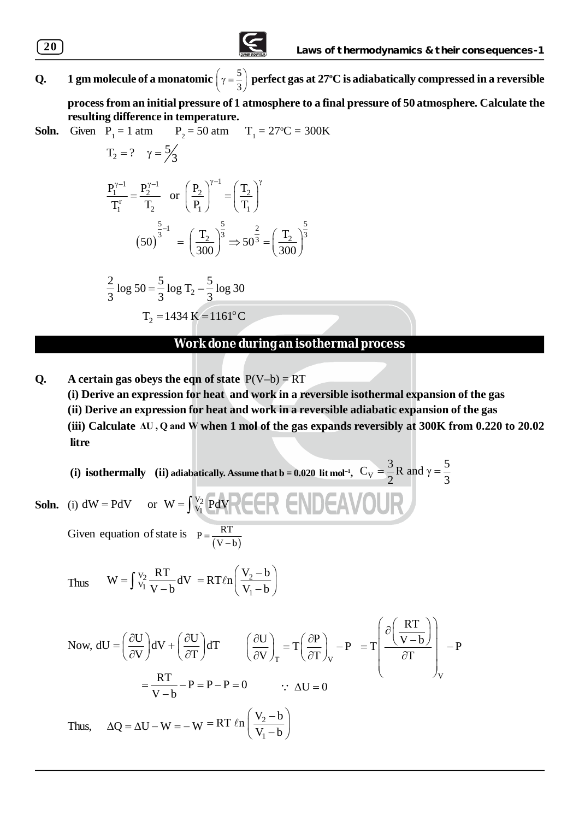

**Q. 1** gm molecule of a monatomic  $\left(\gamma = \frac{5}{3}\right)$  perfect gas at 27°C is adiabatically compressed in a reversible

**process from an initial pressure of 1 atmosphere to a final pressure of 50 atmosphere. Calculate the resulting difference in temperature.**

**Soln.** Given 
$$
\vec{P}_1 = 1 \text{ atm}
$$
  $P_2 = 50 \text{ atm}$   $T_1 = 27^{\circ}\text{C} = 300\text{K}$   
\n $T_2 = ? \quad \gamma = 5/3$   
\n $\frac{P_1^{\gamma-1}}{T_1} = \frac{P_2^{\gamma-1}}{T_2} \quad \text{or} \quad \left(\frac{P_2}{P_1}\right)^{\gamma-1} = \left(\frac{T_2}{T_1}\right)^{\gamma}$   
\n $(50)^{\frac{5}{3}-1} = \left(\frac{T_2}{300}\right)^{\frac{5}{3}} \Rightarrow 50^{\frac{2}{3}} = \left(\frac{T_2}{300}\right)^{\frac{5}{3}}$   
\n $\frac{2}{3} \log 50 = \frac{5}{3} \log T_2 - \frac{5}{3} \log 30$   
\n $T_2 = 1434 \text{ K} = 1161^{\circ}\text{C}$ 

## **Work done during an isothermal process**

**Q.** A certain gas obeys the eqn of state  $P(V-b) = RT$ 

**(i) Derive an expression for heat and work in a reversible isothermal expansion of the gas (ii) Derive an expression for heat and work in a reversible adiabatic expansion of the gas (iii) Calculate ΔU , Q and W when 1 mol of the gas expands reversibly at 300K from 0.220 to 20.02 litre**

(i) isothermally (ii) adiabatically. Assume that b = 0.020 lit mol<sup>-1</sup>,  $C_V = \frac{3}{2}R$  and  $\gamma = \frac{5}{2}$ 2 3  $=\frac{3}{2}R$  and  $\gamma=\frac{3}{2}$ 

**Soln.** (i)  $dW = PdV$  $dW = PdV$  or  $W = \int_{V_1}^{V_2} PdV$ Given equation of state is  $(V-b)$  $P = \frac{RT}{(V - b)}$ 

Thus 
$$
W = \int_{V_1}^{V_2} \frac{RT}{V - b} dV = RT \ln \left( \frac{V_2 - b}{V_1 - b} \right)
$$

Now, 
$$
dU = \left(\frac{\partial U}{\partial V}\right) dV + \left(\frac{\partial U}{\partial T}\right) dT
$$
  $\left(\frac{\partial U}{\partial V}\right)_T = T \left(\frac{\partial P}{\partial T}\right)_V - P = T \left(\frac{\partial \left(\frac{RT}{V-b}\right)}{\partial T}\right)_V - P$   

$$
= \frac{RT}{V-b} - P = P-P = 0 \qquad \therefore \Delta U = 0
$$
Thus,  $\Delta Q = \Delta U - W = -W = RT \ln \left(\frac{V_2 - b}{V_1 - b}\right)$